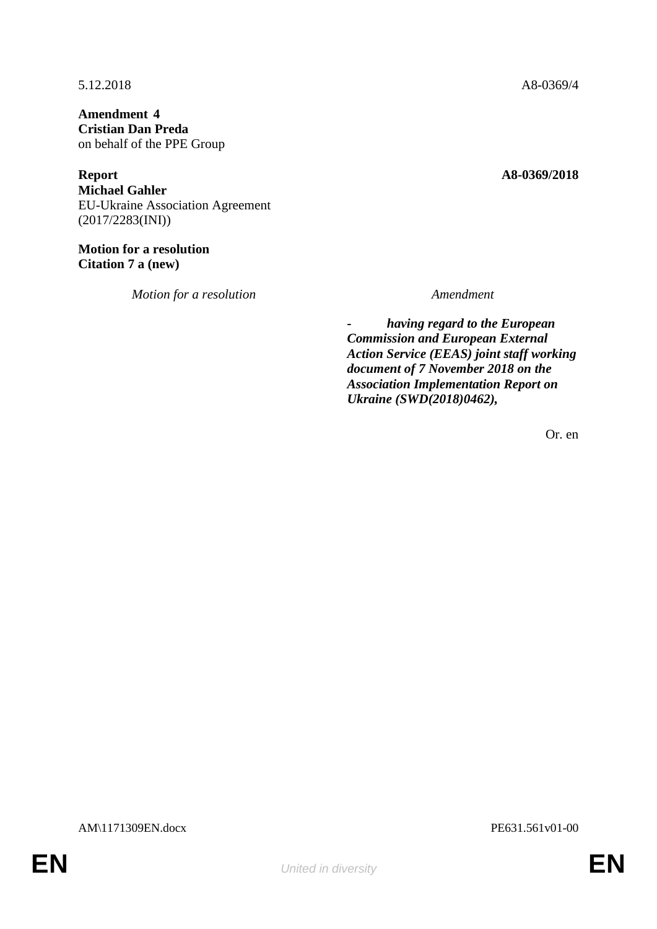**Amendment 4 Cristian Dan Preda** on behalf of the PPE Group

**Report A8-0369/2018 Michael Gahler** EU-Ukraine Association Agreement (2017/2283(INI))

**Motion for a resolution Citation 7 a (new)**

*Motion for a resolution Amendment*

5.12.2018 A8-0369/4

*- having regard to the European Commission and European External Action Service (EEAS) joint staff working document of 7 November 2018 on the Association Implementation Report on Ukraine (SWD(2018)0462),*

Or. en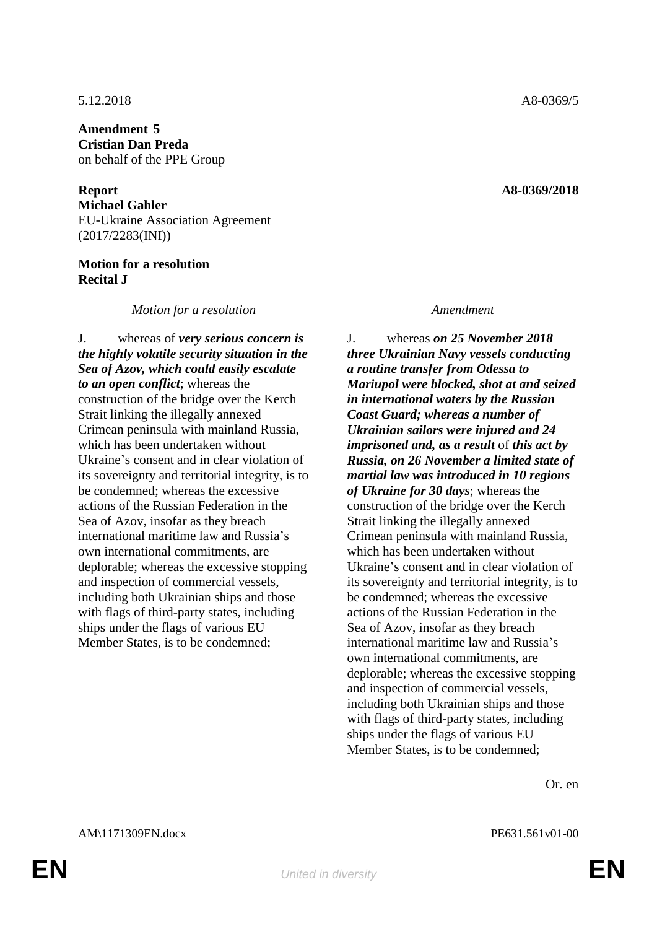5.12.2018 A8-0369/5

**Amendment 5 Cristian Dan Preda** on behalf of the PPE Group

**Report A8-0369/2018 Michael Gahler** EU-Ukraine Association Agreement (2017/2283(INI))

## **Motion for a resolution Recital J**

*Motion for a resolution Amendment*

J. whereas of *very serious concern is the highly volatile security situation in the Sea of Azov, which could easily escalate to an open conflict*; whereas the construction of the bridge over the Kerch Strait linking the illegally annexed Crimean peninsula with mainland Russia, which has been undertaken without Ukraine's consent and in clear violation of its sovereignty and territorial integrity, is to be condemned; whereas the excessive actions of the Russian Federation in the Sea of Azov, insofar as they breach international maritime law and Russia's own international commitments, are deplorable; whereas the excessive stopping and inspection of commercial vessels, including both Ukrainian ships and those with flags of third-party states, including ships under the flags of various EU Member States, is to be condemned;

J. whereas *on 25 November 2018 three Ukrainian Navy vessels conducting a routine transfer from Odessa to Mariupol were blocked, shot at and seized in international waters by the Russian Coast Guard; whereas a number of Ukrainian sailors were injured and 24 imprisoned and, as a result* of *this act by Russia, on 26 November a limited state of martial law was introduced in 10 regions of Ukraine for 30 days*; whereas the construction of the bridge over the Kerch Strait linking the illegally annexed Crimean peninsula with mainland Russia, which has been undertaken without Ukraine's consent and in clear violation of its sovereignty and territorial integrity, is to be condemned; whereas the excessive actions of the Russian Federation in the Sea of Azov, insofar as they breach international maritime law and Russia's own international commitments, are deplorable; whereas the excessive stopping and inspection of commercial vessels, including both Ukrainian ships and those with flags of third-party states, including ships under the flags of various EU Member States, is to be condemned;

Or. en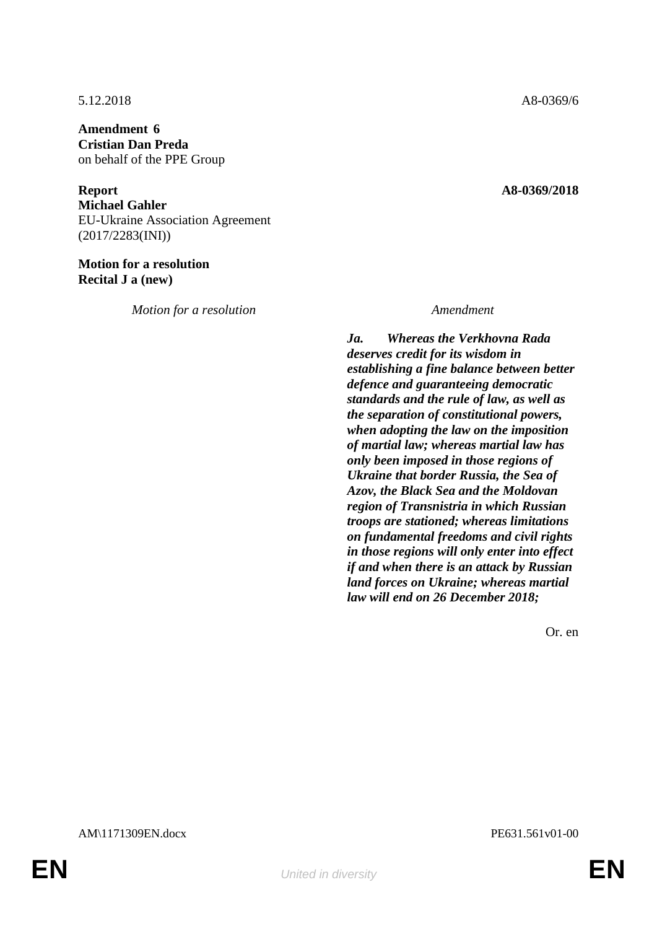**Amendment 6 Cristian Dan Preda** on behalf of the PPE Group

**Report A8-0369/2018 Michael Gahler** EU-Ukraine Association Agreement (2017/2283(INI))

**Motion for a resolution Recital J a (new)**

*Motion for a resolution Amendment*

*Ja. Whereas the Verkhovna Rada deserves credit for its wisdom in establishing a fine balance between better defence and guaranteeing democratic standards and the rule of law, as well as the separation of constitutional powers, when adopting the law on the imposition of martial law; whereas martial law has only been imposed in those regions of Ukraine that border Russia, the Sea of Azov, the Black Sea and the Moldovan region of Transnistria in which Russian troops are stationed; whereas limitations on fundamental freedoms and civil rights in those regions will only enter into effect if and when there is an attack by Russian land forces on Ukraine; whereas martial law will end on 26 December 2018;*

Or. en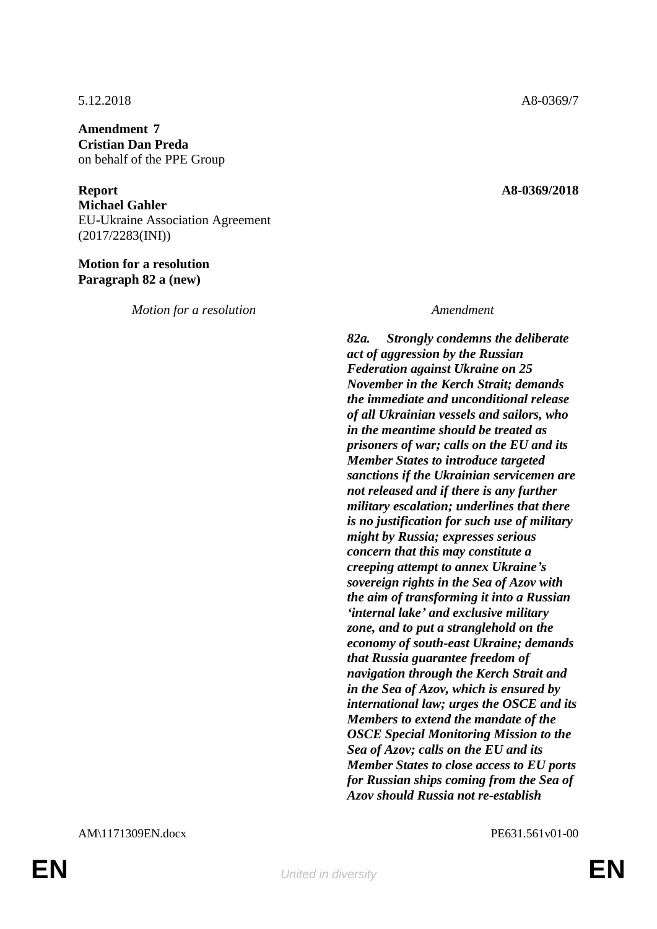**Amendment 7 Cristian Dan Preda** on behalf of the PPE Group

**Report A8-0369/2018 Michael Gahler** EU-Ukraine Association Agreement (2017/2283(INI))

**Motion for a resolution Paragraph 82 a (new)**

*Motion for a resolution Amendment*

*82a. Strongly condemns the deliberate act of aggression by the Russian Federation against Ukraine on 25 November in the Kerch Strait; demands the immediate and unconditional release of all Ukrainian vessels and sailors, who in the meantime should be treated as prisoners of war; calls on the EU and its Member States to introduce targeted sanctions if the Ukrainian servicemen are not released and if there is any further military escalation; underlines that there is no justification for such use of military might by Russia; expresses serious concern that this may constitute a creeping attempt to annex Ukraine's sovereign rights in the Sea of Azov with the aim of transforming it into a Russian 'internal lake' and exclusive military zone, and to put a stranglehold on the economy of south-east Ukraine; demands that Russia guarantee freedom of navigation through the Kerch Strait and in the Sea of Azov, which is ensured by international law; urges the OSCE and its Members to extend the mandate of the OSCE Special Monitoring Mission to the Sea of Azov; calls on the EU and its Member States to close access to EU ports for Russian ships coming from the Sea of Azov should Russia not re-establish*